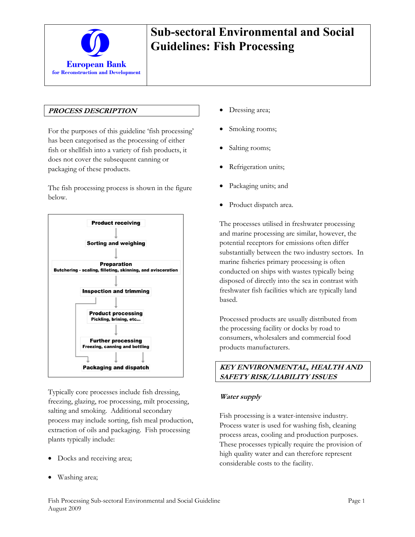

### **PROCESS DESCRIPTION**

For the purposes of this guideline 'fish processing' has been categorised as the processing of either fish or shellfish into a variety of fish products, it does not cover the subsequent canning or packaging of these products.

The fish processing process is shown in the figure below.



Typically core processes include fish dressing, freezing, glazing, roe processing, milt processing, salting and smoking. Additional secondary process may include sorting, fish meal production, extraction of oils and packaging. Fish processing plants typically include:

- Docks and receiving area;
- Washing area;
- Dressing area;
- Smoking rooms;
- Salting rooms;
- Refrigeration units;
- Packaging units; and
- Product dispatch area.

The processes utilised in freshwater processing and marine processing are similar, however, the potential receptors for emissions often differ substantially between the two industry sectors. In marine fisheries primary processing is often conducted on ships with wastes typically being disposed of directly into the sea in contrast with freshwater fish facilities which are typically land based.

Processed products are usually distributed from the processing facility or docks by road to consumers, wholesalers and commercial food products manufacturers.

### **KEY ENVIRONMENTAL, HEALTH AND SAFETY RISK/LIABILITY ISSUES**

#### **Water supply**

Fish processing is a water-intensive industry. Process water is used for washing fish, cleaning process areas, cooling and production purposes. These processes typically require the provision of high quality water and can therefore represent considerable costs to the facility.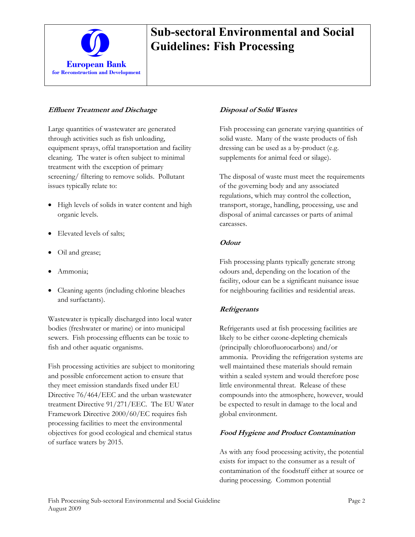

### **Effluent Treatment and Discharge**

Large quantities of wastewater are generated through activities such as fish unloading, equipment sprays, offal transportation and facility cleaning. The water is often subject to minimal treatment with the exception of primary screening/ filtering to remove solids. Pollutant issues typically relate to:

- High levels of solids in water content and high organic levels.
- Elevated levels of salts;
- Oil and grease;
- Ammonia;
- Cleaning agents (including chlorine bleaches and surfactants).

Wastewater is typically discharged into local water bodies (freshwater or marine) or into municipal sewers. Fish processing effluents can be toxic to fish and other aquatic organisms.

Fish processing activities are subject to monitoring and possible enforcement action to ensure that they meet emission standards fixed under EU Directive 76/464/EEC and the urban wastewater treatment Directive 91/271/EEC. The EU Water Framework Directive 2000/60/EC requires fish processing facilities to meet the environmental objectives for good ecological and chemical status of surface waters by 2015.

### **Disposal of Solid Wastes**

Fish processing can generate varying quantities of solid waste. Many of the waste products of fish dressing can be used as a by-product (e.g. supplements for animal feed or silage).

The disposal of waste must meet the requirements of the governing body and any associated regulations, which may control the collection, transport, storage, handling, processing, use and disposal of animal carcasses or parts of animal carcasses.

#### **Odour**

Fish processing plants typically generate strong odours and, depending on the location of the facility, odour can be a significant nuisance issue for neighbouring facilities and residential areas.

#### **Refrigerants**

Refrigerants used at fish processing facilities are likely to be either ozone-depleting chemicals (principally chlorofluorocarbons) and/or ammonia. Providing the refrigeration systems are well maintained these materials should remain within a sealed system and would therefore pose little environmental threat. Release of these compounds into the atmosphere, however, would be expected to result in damage to the local and global environment.

#### **Food Hygiene and Product Contamination**

As with any food processing activity, the potential exists for impact to the consumer as a result of contamination of the foodstuff either at source or during processing. Common potential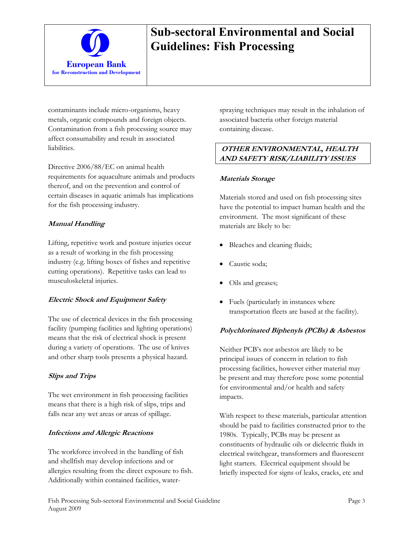

contaminants include micro-organisms, heavy metals, organic compounds and foreign objects. Contamination from a fish processing source may affect consumability and result in associated liabilities.

Directive 2006/88/EC on animal health requirements for aquaculture animals and products thereof, and on the prevention and control of certain diseases in aquatic animals has implications for the fish processing industry.

### **Manual Handling**

Lifting, repetitive work and posture injuries occur as a result of working in the fish processing industry (e.g. lifting boxes of fishes and repetitive cutting operations). Repetitive tasks can lead to musculoskeletal injuries.

## **Electric Shock and Equipment Safety**

The use of electrical devices in the fish processing facility (pumping facilities and lighting operations) means that the risk of electrical shock is present during a variety of operations. The use of knives and other sharp tools presents a physical hazard.

## **Slips and Trips**

The wet environment in fish processing facilities means that there is a high risk of slips, trips and falls near any wet areas or areas of spillage.

## **Infections and Allergic Reactions**

The workforce involved in the handling of fish and shellfish may develop infections and or allergies resulting from the direct exposure to fish. Additionally within contained facilities, waterspraying techniques may result in the inhalation of associated bacteria other foreign material containing disease.

## **OTHER ENVIRONMENTAL, HEALTH AND SAFETY RISK/LIABILITY ISSUES**

### **Materials Storage**

Materials stored and used on fish processing sites have the potential to impact human health and the environment. The most significant of these materials are likely to be:

- Bleaches and cleaning fluids;
- Caustic soda;
- Oils and greases;
- Fuels (particularly in instances where transportation fleets are based at the facility).

## **Polychlorinated Biphenyls (PCBs) & Asbestos**

Neither PCB's nor asbestos are likely to be principal issues of concern in relation to fish processing facilities, however either material may be present and may therefore pose some potential for environmental and/or health and safety impacts.

With respect to these materials, particular attention should be paid to facilities constructed prior to the 1980s. Typically, PCBs may be present as constituents of hydraulic oils or dielectric fluids in electrical switchgear, transformers and fluorescent light starters. Electrical equipment should be briefly inspected for signs of leaks, cracks, etc and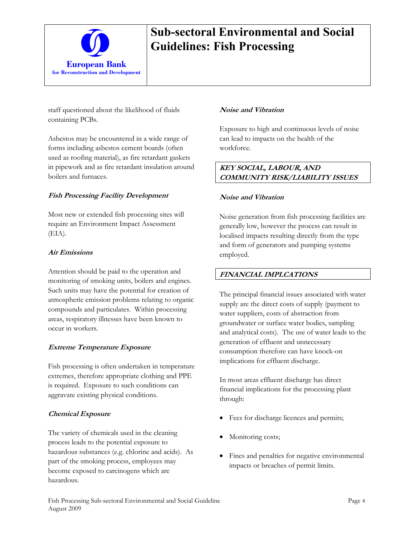

staff questioned about the likelihood of fluids containing PCBs.

Asbestos may be encountered in a wide range of forms including asbestos cement boards (often used as roofing material), as fire retardant gaskets in pipework and as fire retardant insulation around boilers and furnaces.

### **Fish Processing Facility Development**

Most new or extended fish processing sites will require an Environment Impact Assessment (EIA).

#### **Air Emissions**

Attention should be paid to the operation and monitoring of smoking units, boilers and engines. Such units may have the potential for creation of atmospheric emission problems relating to organic compounds and particulates. Within processing areas, respiratory illnesses have been known to occur in workers.

## **Extreme Temperature Exposure**

Fish processing is often undertaken in temperature extremes, therefore appropriate clothing and PPE is required. Exposure to such conditions can aggravate existing physical conditions.

#### **Chemical Exposure**

The variety of chemicals used in the cleaning process leads to the potential exposure to hazardous substances (e.g. chlorine and acids). As part of the smoking process, employees may become exposed to carcinogens which are hazardous.

#### **Noise and Vibration**

Exposure to high and continuous levels of noise can lead to impacts on the health of the workforce.

### **KEY SOCIAL, LABOUR, AND COMMUNITY RISK/LIABILITY ISSUES**

#### **Noise and Vibration**

Noise generation from fish processing facilities are generally low, however the process can result in localised impacts resulting directly from the type and form of generators and pumping systems employed.

#### **FINANCIAL IMPLCATIONS**

The principal financial issues associated with water supply are the direct costs of supply (payment to water suppliers, costs of abstraction from groundwater or surface water bodies, sampling and analytical costs). The use of water leads to the generation of effluent and unnecessary consumption therefore can have knock-on implications for effluent discharge.

In most areas effluent discharge has direct financial implications for the processing plant through:

- Fees for discharge licences and permits;
- Monitoring costs;
- Fines and penalties for negative environmental impacts or breaches of permit limits.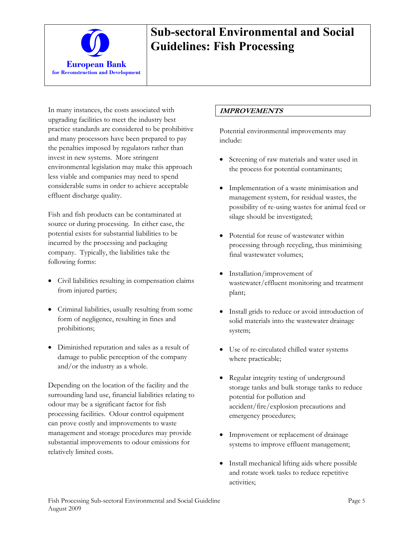

In many instances, the costs associated with upgrading facilities to meet the industry best practice standards are considered to be prohibitive and many processors have been prepared to pay the penalties imposed by regulators rather than invest in new systems. More stringent environmental legislation may make this approach less viable and companies may need to spend considerable sums in order to achieve acceptable effluent discharge quality.

Fish and fish products can be contaminated at source or during processing. In either case, the potential exists for substantial liabilities to be incurred by the processing and packaging company. Typically, the liabilities take the following forms:

- Civil liabilities resulting in compensation claims from injured parties;
- Criminal liabilities, usually resulting from some form of negligence, resulting in fines and prohibitions;
- Diminished reputation and sales as a result of damage to public perception of the company and/or the industry as a whole.

Depending on the location of the facility and the surrounding land use, financial liabilities relating to odour may be a significant factor for fish processing facilities. Odour control equipment can prove costly and improvements to waste management and storage procedures may provide substantial improvements to odour emissions for relatively limited costs.

### **IMPROVEMENTS**

Potential environmental improvements may include:

- Screening of raw materials and water used in the process for potential contaminants;
- Implementation of a waste minimisation and management system, for residual wastes, the possibility of re-using wastes for animal feed or silage should be investigated;
- Potential for reuse of wastewater within processing through recycling, thus minimising final wastewater volumes;
- Installation/improvement of wastewater/effluent monitoring and treatment plant;
- Install grids to reduce or avoid introduction of solid materials into the wastewater drainage system;
- Use of re-circulated chilled water systems where practicable;
- Regular integrity testing of underground storage tanks and bulk storage tanks to reduce potential for pollution and accident/fire/explosion precautions and emergency procedures;
- Improvement or replacement of drainage systems to improve effluent management;
- Install mechanical lifting aids where possible and rotate work tasks to reduce repetitive activities;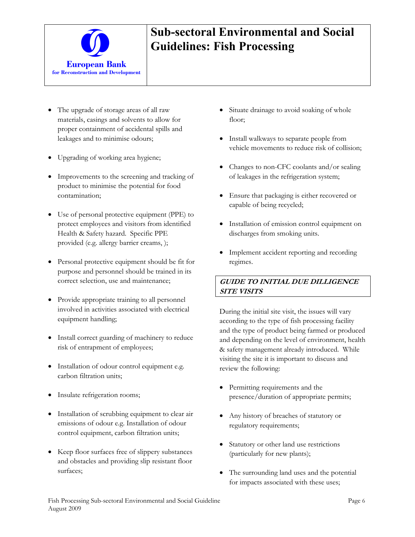

- The upgrade of storage areas of all raw materials, casings and solvents to allow for proper containment of accidental spills and leakages and to minimise odours;
- Upgrading of working area hygiene;
- Improvements to the screening and tracking of product to minimise the potential for food contamination;
- Use of personal protective equipment (PPE) to protect employees and visitors from identified Health & Safety hazard. Specific PPE provided (e.g. allergy barrier creams, );
- Personal protective equipment should be fit for purpose and personnel should be trained in its correct selection, use and maintenance;
- Provide appropriate training to all personnel involved in activities associated with electrical equipment handling;
- Install correct guarding of machinery to reduce risk of entrapment of employees;
- Installation of odour control equipment e.g. carbon filtration units;
- Insulate refrigeration rooms;
- Installation of scrubbing equipment to clear air emissions of odour e.g. Installation of odour control equipment, carbon filtration units;
- Keep floor surfaces free of slippery substances and obstacles and providing slip resistant floor surfaces;
- Situate drainage to avoid soaking of whole floor;
- Install walkways to separate people from vehicle movements to reduce risk of collision;
- Changes to non-CFC coolants and/or sealing of leakages in the refrigeration system;
- Ensure that packaging is either recovered or capable of being recycled;
- Installation of emission control equipment on discharges from smoking units.
- Implement accident reporting and recording regimes.

## **GUIDE TO INITIAL DUE DILLIGENCE SITE VISITS**

During the initial site visit, the issues will vary according to the type of fish processing facility and the type of product being farmed or produced and depending on the level of environment, health & safety management already introduced. While visiting the site it is important to discuss and review the following:

- Permitting requirements and the presence/duration of appropriate permits;
- Any history of breaches of statutory or regulatory requirements;
- Statutory or other land use restrictions (particularly for new plants);
- The surrounding land uses and the potential for impacts associated with these uses;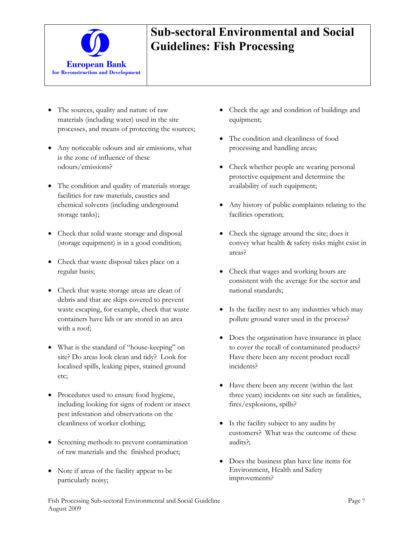

- The sources, quality and nature of raw materials (including water) used in the site processes, and means of protecting the sources;
- Any noticeable odours and air emissions, what is the zone of influence of these odours/emissions?
- The condition and quality of materials storage facilities for raw materials, caustics and chemical solvents (including underground storage tanks);
- Check that solid waste storage and disposal (storage equipment) is in a good condition;
- Check that waste disposal takes place on a regular basis;
- Check that waste storage areas are clean of debris and that are skips covered to prevent waste escaping, for example, check that waste containers have lids or are stored in an area with a roof;
- What is the standard of "house-keeping" on site? Do areas look clean and tidy? Look for localised spills, leaking pipes, stained ground etc;
- Procedures used to ensure food hygiene, including looking for signs of rodent or insect pest infestation and observations on the cleanliness of worker clothing;
- Screening methods to prevent contamination of raw materials and the finished product;
- Note if areas of the facility appear to be particularly noisy;
- Check the age and condition of buildings and equipment;
- The condition and cleanliness of food processing and handling areas;
- Check whether people are wearing personal protective equipment and determine the availability of such equipment;
- Any history of public complaints relating to the facilities operation;
- Check the signage around the site; does it convey what health & safety risks might exist in areas?
- Check that wages and working hours are consistent with the average for the sector and national standards;
- Is the facility next to any industries which may pollute ground water used in the process?
- Does the organisation have insurance in place to cover the recall of contaminated products? Have there been any recent product recall incidents?
- Have there been any recent (within the last three years) incidents on site such as fatalities, fires/explosions, spills?
- Is the facility subject to any audits by customers? What was the outcome of these audits?;
- Does the business plan have line items for Environment, Health and Safety improvements?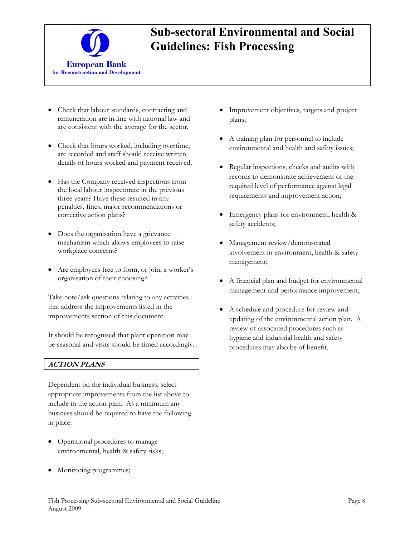

- Check that labour standards, contracting and remuneration are in line with national law and are consistent with the average for the sector.
- Check that hours worked, including overtime, are recorded and staff should receive written details of hours worked and payment received.
- Has the Company received inspections from the local labour inspectorate in the previous three years? Have these resulted in any penalties, fines, major recommendations or corrective action plans?
- Does the organisation have a grievance mechanism which allows employees to raise workplace concerns?
- Are employees free to form, or join, a worker's organisation of their choosing?

Take note/ask questions relating to any activities that address the improvements listed in the improvements section of this document.

It should be recognised that plant operation may be seasonal and visits should be timed accordingly.

#### **ACTION PLANS**

Dependent on the individual business, select appropriate improvements from the list above to include in the action plan. As a minimum any business should be required to have the following in place:

- Operational procedures to manage environmental, health & safety risks;
- Monitoring programmes;
- Improvement objectives, targets and project plans;
- A training plan for personnel to include environmental and health and safety issues;
- Regular inspections, checks and audits with records to demonstrate achievement of the required level of performance against legal requirements and improvement action;
- Emergency plans for environment, health & safety accidents;
- Management review/demonstrated involvement in environment, health & safety management;
- A financial plan and budget for environmental management and performance improvement;
- A schedule and procedure for review and updating of the environmental action plan. A review of associated procedures such as hygiene and industrial health and safety procedures may also be of benefit.